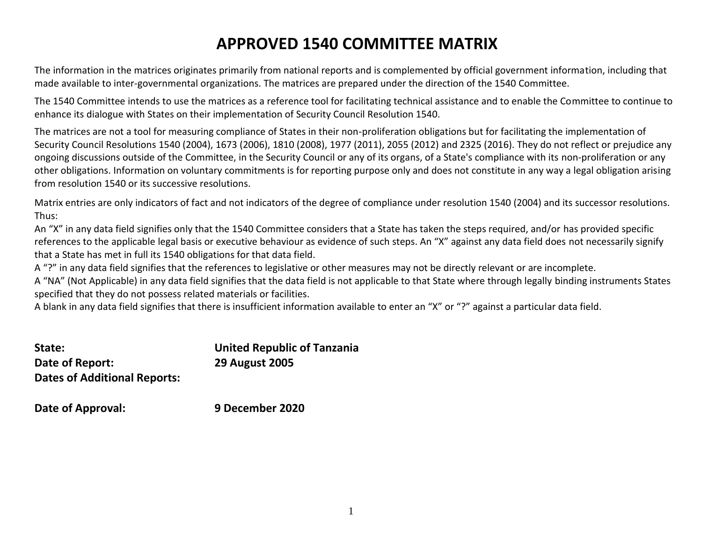## **APPROVED 1540 COMMITTEE MATRIX**

The information in the matrices originates primarily from national reports and is complemented by official government information, including that made available to inter-governmental organizations. The matrices are prepared under the direction of the 1540 Committee.

The 1540 Committee intends to use the matrices as a reference tool for facilitating technical assistance and to enable the Committee to continue to enhance its dialogue with States on their implementation of Security Council Resolution 1540.

The matrices are not a tool for measuring compliance of States in their non-proliferation obligations but for facilitating the implementation of Security Council Resolutions 1540 (2004), 1673 (2006), 1810 (2008), 1977 (2011), 2055 (2012) and 2325 (2016). They do not reflect or prejudice any ongoing discussions outside of the Committee, in the Security Council or any of its organs, of a State's compliance with its non-proliferation or any other obligations. Information on voluntary commitments is for reporting purpose only and does not constitute in any way a legal obligation arising from resolution 1540 or its successive resolutions.

Matrix entries are only indicators of fact and not indicators of the degree of compliance under resolution 1540 (2004) and its successor resolutions. Thus:

An "X" in any data field signifies only that the 1540 Committee considers that a State has taken the steps required, and/or has provided specific references to the applicable legal basis or executive behaviour as evidence of such steps. An "X" against any data field does not necessarily signify that a State has met in full its 1540 obligations for that data field.

A "?" in any data field signifies that the references to legislative or other measures may not be directly relevant or are incomplete.

A "NA" (Not Applicable) in any data field signifies that the data field is not applicable to that State where through legally binding instruments States specified that they do not possess related materials or facilities.

A blank in any data field signifies that there is insufficient information available to enter an "X" or "?" against a particular data field.

| State:                              | <b>United Republic of Tanzania</b> |
|-------------------------------------|------------------------------------|
| Date of Report:                     | <b>29 August 2005</b>              |
| <b>Dates of Additional Reports:</b> |                                    |

**Date of Approval: 9 December 2020**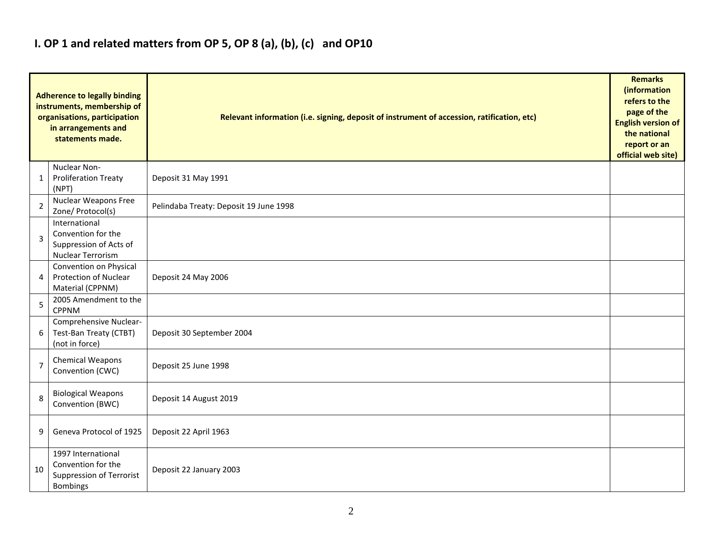### **I. OP 1 and related matters from OP 5, OP 8 (a), (b), (c) and OP10**

| <b>Adherence to legally binding</b><br>instruments, membership of<br>organisations, participation<br>in arrangements and<br>statements made. |                                                                                                | Relevant information (i.e. signing, deposit of instrument of accession, ratification, etc) | <b>Remarks</b><br>(information<br>refers to the<br>page of the<br><b>English version of</b><br>the national<br>report or an<br>official web site) |
|----------------------------------------------------------------------------------------------------------------------------------------------|------------------------------------------------------------------------------------------------|--------------------------------------------------------------------------------------------|---------------------------------------------------------------------------------------------------------------------------------------------------|
| 1                                                                                                                                            | Nuclear Non-<br><b>Proliferation Treaty</b><br>(NPT)                                           | Deposit 31 May 1991                                                                        |                                                                                                                                                   |
| 2                                                                                                                                            | Nuclear Weapons Free<br>Zone/ Protocol(s)                                                      | Pelindaba Treaty: Deposit 19 June 1998                                                     |                                                                                                                                                   |
| $\overline{3}$                                                                                                                               | International<br>Convention for the<br>Suppression of Acts of<br>Nuclear Terrorism             |                                                                                            |                                                                                                                                                   |
| 4                                                                                                                                            | Convention on Physical<br>Protection of Nuclear<br>Material (CPPNM)                            | Deposit 24 May 2006                                                                        |                                                                                                                                                   |
| 5                                                                                                                                            | 2005 Amendment to the<br><b>CPPNM</b>                                                          |                                                                                            |                                                                                                                                                   |
| 6                                                                                                                                            | Comprehensive Nuclear-<br>Test-Ban Treaty (CTBT)<br>(not in force)                             | Deposit 30 September 2004                                                                  |                                                                                                                                                   |
| 7                                                                                                                                            | <b>Chemical Weapons</b><br>Convention (CWC)                                                    | Deposit 25 June 1998                                                                       |                                                                                                                                                   |
| 8                                                                                                                                            | <b>Biological Weapons</b><br>Convention (BWC)                                                  | Deposit 14 August 2019                                                                     |                                                                                                                                                   |
| 9                                                                                                                                            | Geneva Protocol of 1925                                                                        | Deposit 22 April 1963                                                                      |                                                                                                                                                   |
| 10                                                                                                                                           | 1997 International<br>Convention for the<br><b>Suppression of Terrorist</b><br><b>Bombings</b> | Deposit 22 January 2003                                                                    |                                                                                                                                                   |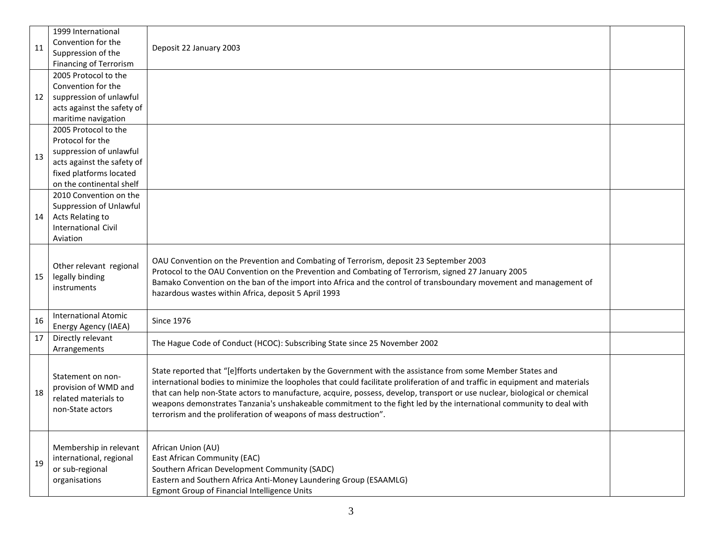|    | 1999 International                                                                    |                                                                                                                                                                                                                                                                                                                                                                                                                                                                                                                                                                      |  |
|----|---------------------------------------------------------------------------------------|----------------------------------------------------------------------------------------------------------------------------------------------------------------------------------------------------------------------------------------------------------------------------------------------------------------------------------------------------------------------------------------------------------------------------------------------------------------------------------------------------------------------------------------------------------------------|--|
| 11 | Convention for the                                                                    |                                                                                                                                                                                                                                                                                                                                                                                                                                                                                                                                                                      |  |
|    | Suppression of the                                                                    | Deposit 22 January 2003                                                                                                                                                                                                                                                                                                                                                                                                                                                                                                                                              |  |
|    | Financing of Terrorism                                                                |                                                                                                                                                                                                                                                                                                                                                                                                                                                                                                                                                                      |  |
|    | 2005 Protocol to the                                                                  |                                                                                                                                                                                                                                                                                                                                                                                                                                                                                                                                                                      |  |
|    | Convention for the                                                                    |                                                                                                                                                                                                                                                                                                                                                                                                                                                                                                                                                                      |  |
| 12 | suppression of unlawful                                                               |                                                                                                                                                                                                                                                                                                                                                                                                                                                                                                                                                                      |  |
|    | acts against the safety of                                                            |                                                                                                                                                                                                                                                                                                                                                                                                                                                                                                                                                                      |  |
|    | maritime navigation                                                                   |                                                                                                                                                                                                                                                                                                                                                                                                                                                                                                                                                                      |  |
|    | 2005 Protocol to the                                                                  |                                                                                                                                                                                                                                                                                                                                                                                                                                                                                                                                                                      |  |
|    | Protocol for the                                                                      |                                                                                                                                                                                                                                                                                                                                                                                                                                                                                                                                                                      |  |
|    | suppression of unlawful                                                               |                                                                                                                                                                                                                                                                                                                                                                                                                                                                                                                                                                      |  |
| 13 | acts against the safety of                                                            |                                                                                                                                                                                                                                                                                                                                                                                                                                                                                                                                                                      |  |
|    | fixed platforms located                                                               |                                                                                                                                                                                                                                                                                                                                                                                                                                                                                                                                                                      |  |
|    | on the continental shelf                                                              |                                                                                                                                                                                                                                                                                                                                                                                                                                                                                                                                                                      |  |
|    | 2010 Convention on the                                                                |                                                                                                                                                                                                                                                                                                                                                                                                                                                                                                                                                                      |  |
|    | Suppression of Unlawful                                                               |                                                                                                                                                                                                                                                                                                                                                                                                                                                                                                                                                                      |  |
| 14 | Acts Relating to                                                                      |                                                                                                                                                                                                                                                                                                                                                                                                                                                                                                                                                                      |  |
|    | <b>International Civil</b>                                                            |                                                                                                                                                                                                                                                                                                                                                                                                                                                                                                                                                                      |  |
|    | Aviation                                                                              |                                                                                                                                                                                                                                                                                                                                                                                                                                                                                                                                                                      |  |
| 15 | Other relevant regional<br>legally binding<br>instruments                             | OAU Convention on the Prevention and Combating of Terrorism, deposit 23 September 2003<br>Protocol to the OAU Convention on the Prevention and Combating of Terrorism, signed 27 January 2005<br>Bamako Convention on the ban of the import into Africa and the control of transboundary movement and management of<br>hazardous wastes within Africa, deposit 5 April 1993                                                                                                                                                                                          |  |
| 16 | <b>International Atomic</b><br>Energy Agency (IAEA)                                   | <b>Since 1976</b>                                                                                                                                                                                                                                                                                                                                                                                                                                                                                                                                                    |  |
| 17 | Directly relevant<br>Arrangements                                                     | The Hague Code of Conduct (HCOC): Subscribing State since 25 November 2002                                                                                                                                                                                                                                                                                                                                                                                                                                                                                           |  |
| 18 | Statement on non-<br>provision of WMD and<br>related materials to<br>non-State actors | State reported that "[e]fforts undertaken by the Government with the assistance from some Member States and<br>international bodies to minimize the loopholes that could facilitate proliferation of and traffic in equipment and materials<br>that can help non-State actors to manufacture, acquire, possess, develop, transport or use nuclear, biological or chemical<br>weapons demonstrates Tanzania's unshakeable commitment to the fight led by the international community to deal with<br>terrorism and the proliferation of weapons of mass destruction". |  |
| 19 | Membership in relevant<br>international, regional<br>or sub-regional<br>organisations | African Union (AU)<br>East African Community (EAC)<br>Southern African Development Community (SADC)<br>Eastern and Southern Africa Anti-Money Laundering Group (ESAAMLG)<br>Egmont Group of Financial Intelligence Units                                                                                                                                                                                                                                                                                                                                             |  |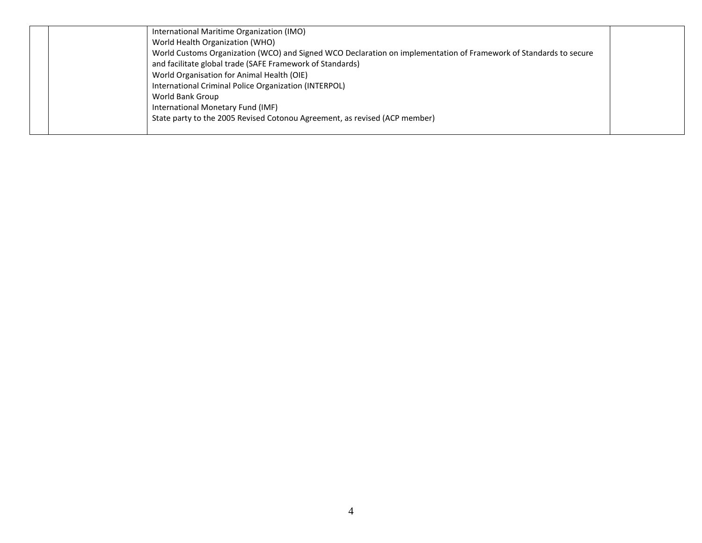| International Maritime Organization (IMO)                                                                         |  |
|-------------------------------------------------------------------------------------------------------------------|--|
| World Health Organization (WHO)                                                                                   |  |
| World Customs Organization (WCO) and Signed WCO Declaration on implementation of Framework of Standards to secure |  |
| and facilitate global trade (SAFE Framework of Standards)                                                         |  |
| World Organisation for Animal Health (OIE)                                                                        |  |
| International Criminal Police Organization (INTERPOL)                                                             |  |
| World Bank Group                                                                                                  |  |
| International Monetary Fund (IMF)                                                                                 |  |
| State party to the 2005 Revised Cotonou Agreement, as revised (ACP member)                                        |  |
|                                                                                                                   |  |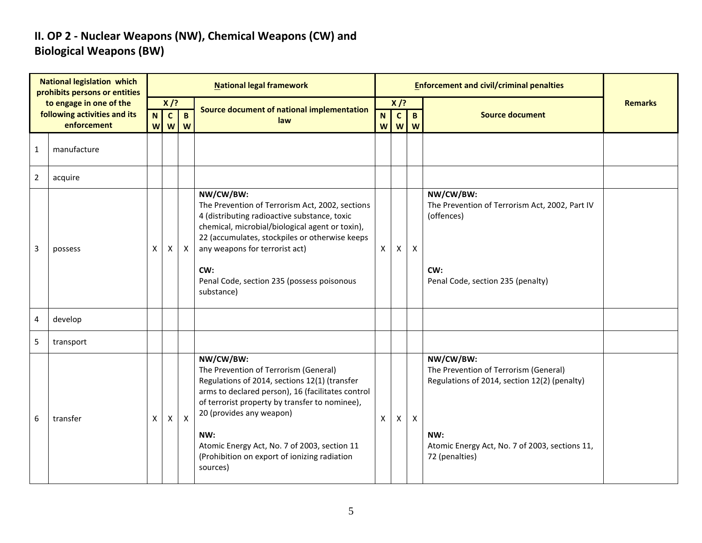### **II. OP 2 - Nuclear Weapons (NW), Chemical Weapons (CW) and Biological Weapons (BW)**

| <b>National legislation which</b><br>prohibits persons or entities<br>to engage in one of the<br>following activities and its<br>enforcement |             |        |                       |              | <b>National legal framework</b>                                                                                                                                                                                                                                                                                                                           |        |                   | <b>Enforcement and civil/criminal penalties</b> |                                                                                                                                                                               |                |
|----------------------------------------------------------------------------------------------------------------------------------------------|-------------|--------|-----------------------|--------------|-----------------------------------------------------------------------------------------------------------------------------------------------------------------------------------------------------------------------------------------------------------------------------------------------------------------------------------------------------------|--------|-------------------|-------------------------------------------------|-------------------------------------------------------------------------------------------------------------------------------------------------------------------------------|----------------|
|                                                                                                                                              |             | $X$ /? |                       |              | Source document of national implementation                                                                                                                                                                                                                                                                                                                | $X$ /? |                   |                                                 |                                                                                                                                                                               | <b>Remarks</b> |
|                                                                                                                                              |             | N      | $\mathbf{c}$<br>w w w | $\mathbf{B}$ | law                                                                                                                                                                                                                                                                                                                                                       | N<br>W | $\mathbf{C}$<br>W | $\mathbf{B}$<br>W                               | <b>Source document</b>                                                                                                                                                        |                |
| $\mathbf{1}$                                                                                                                                 | manufacture |        |                       |              |                                                                                                                                                                                                                                                                                                                                                           |        |                   |                                                 |                                                                                                                                                                               |                |
| $\overline{2}$                                                                                                                               | acquire     |        |                       |              |                                                                                                                                                                                                                                                                                                                                                           |        |                   |                                                 |                                                                                                                                                                               |                |
| 3                                                                                                                                            | possess     | X      | X                     | $\mathsf{X}$ | NW/CW/BW:<br>The Prevention of Terrorism Act, 2002, sections<br>4 (distributing radioactive substance, toxic<br>chemical, microbial/biological agent or toxin),<br>22 (accumulates, stockpiles or otherwise keeps<br>any weapons for terrorist act)<br>CW:<br>Penal Code, section 235 (possess poisonous<br>substance)                                    | X      | $\mathsf{x}$      | $\mathsf{X}$                                    | NW/CW/BW:<br>The Prevention of Terrorism Act, 2002, Part IV<br>(offences)<br>CW:<br>Penal Code, section 235 (penalty)                                                         |                |
| 4                                                                                                                                            | develop     |        |                       |              |                                                                                                                                                                                                                                                                                                                                                           |        |                   |                                                 |                                                                                                                                                                               |                |
| 5                                                                                                                                            | transport   |        |                       |              |                                                                                                                                                                                                                                                                                                                                                           |        |                   |                                                 |                                                                                                                                                                               |                |
| 6                                                                                                                                            | transfer    | X      | $\pmb{\times}$        | $\mathsf{X}$ | NW/CW/BW:<br>The Prevention of Terrorism (General)<br>Regulations of 2014, sections 12(1) (transfer<br>arms to declared person), 16 (facilitates control<br>of terrorist property by transfer to nominee),<br>20 (provides any weapon)<br>NW:<br>Atomic Energy Act, No. 7 of 2003, section 11<br>(Prohibition on export of ionizing radiation<br>sources) | X      | $\mathsf{X}$      | $\mathsf{X}$                                    | NW/CW/BW:<br>The Prevention of Terrorism (General)<br>Regulations of 2014, section 12(2) (penalty)<br>NW:<br>Atomic Energy Act, No. 7 of 2003, sections 11,<br>72 (penalties) |                |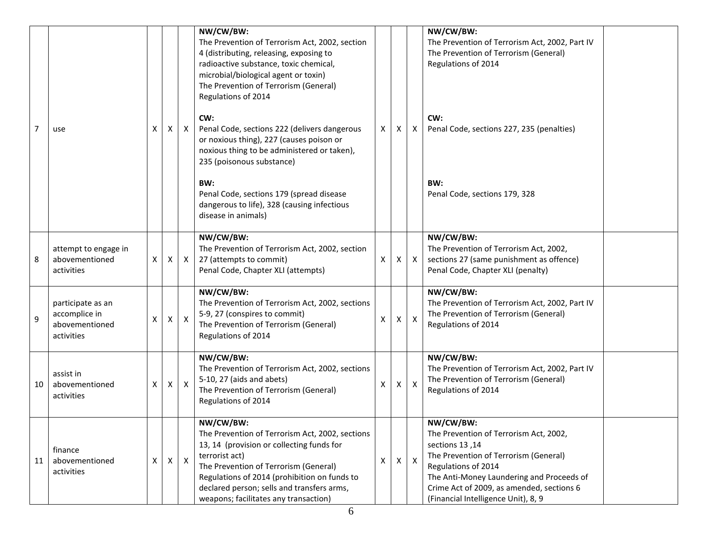| $\overline{7}$ | use                                                                | X | Х | $\mathsf{X}$ | NW/CW/BW:<br>The Prevention of Terrorism Act, 2002, section<br>4 (distributing, releasing, exposing to<br>radioactive substance, toxic chemical,<br>microbial/biological agent or toxin)<br>The Prevention of Terrorism (General)<br>Regulations of 2014<br>CW:<br>Penal Code, sections 222 (delivers dangerous<br>or noxious thing), 227 (causes poison or<br>noxious thing to be administered or taken),<br>235 (poisonous substance)<br>BW:<br>Penal Code, sections 179 (spread disease<br>dangerous to life), 328 (causing infectious<br>disease in animals) | X | X. | X            | NW/CW/BW:<br>The Prevention of Terrorism Act, 2002, Part IV<br>The Prevention of Terrorism (General)<br>Regulations of 2014<br>CW:<br>Penal Code, sections 227, 235 (penalties)<br>BW:<br>Penal Code, sections 179, 328                                                |  |
|----------------|--------------------------------------------------------------------|---|---|--------------|------------------------------------------------------------------------------------------------------------------------------------------------------------------------------------------------------------------------------------------------------------------------------------------------------------------------------------------------------------------------------------------------------------------------------------------------------------------------------------------------------------------------------------------------------------------|---|----|--------------|------------------------------------------------------------------------------------------------------------------------------------------------------------------------------------------------------------------------------------------------------------------------|--|
| 8              | attempt to engage in<br>abovementioned<br>activities               | Χ | X | $\mathsf{X}$ | NW/CW/BW:<br>The Prevention of Terrorism Act, 2002, section<br>27 (attempts to commit)<br>Penal Code, Chapter XLI (attempts)                                                                                                                                                                                                                                                                                                                                                                                                                                     | Χ | X  | $\mathsf{X}$ | NW/CW/BW:<br>The Prevention of Terrorism Act, 2002,<br>sections 27 (same punishment as offence)<br>Penal Code, Chapter XLI (penalty)                                                                                                                                   |  |
| 9              | participate as an<br>accomplice in<br>abovementioned<br>activities | х | X | $\mathsf{X}$ | NW/CW/BW:<br>The Prevention of Terrorism Act, 2002, sections<br>5-9, 27 (conspires to commit)<br>The Prevention of Terrorism (General)<br>Regulations of 2014                                                                                                                                                                                                                                                                                                                                                                                                    | Χ | X. | $\mathsf{X}$ | NW/CW/BW:<br>The Prevention of Terrorism Act, 2002, Part IV<br>The Prevention of Terrorism (General)<br>Regulations of 2014                                                                                                                                            |  |
| 10             | assist in<br>abovementioned<br>activities                          | Χ | X | $\mathsf{X}$ | NW/CW/BW:<br>The Prevention of Terrorism Act, 2002, sections<br>5-10, 27 (aids and abets)<br>The Prevention of Terrorism (General)<br>Regulations of 2014                                                                                                                                                                                                                                                                                                                                                                                                        | Χ | X  | $\mathsf{X}$ | NW/CW/BW:<br>The Prevention of Terrorism Act, 2002, Part IV<br>The Prevention of Terrorism (General)<br>Regulations of 2014                                                                                                                                            |  |
| 11             | finance<br>abovementioned<br>activities                            | X | X | $\mathsf{X}$ | NW/CW/BW:<br>The Prevention of Terrorism Act, 2002, sections<br>13, 14 (provision or collecting funds for<br>terrorist act)<br>The Prevention of Terrorism (General)<br>Regulations of 2014 (prohibition on funds to<br>declared person; sells and transfers arms,<br>weapons; facilitates any transaction)                                                                                                                                                                                                                                                      | X | X. | $\mathsf{X}$ | NW/CW/BW:<br>The Prevention of Terrorism Act, 2002,<br>sections 13,14<br>The Prevention of Terrorism (General)<br>Regulations of 2014<br>The Anti-Money Laundering and Proceeds of<br>Crime Act of 2009, as amended, sections 6<br>(Financial Intelligence Unit), 8, 9 |  |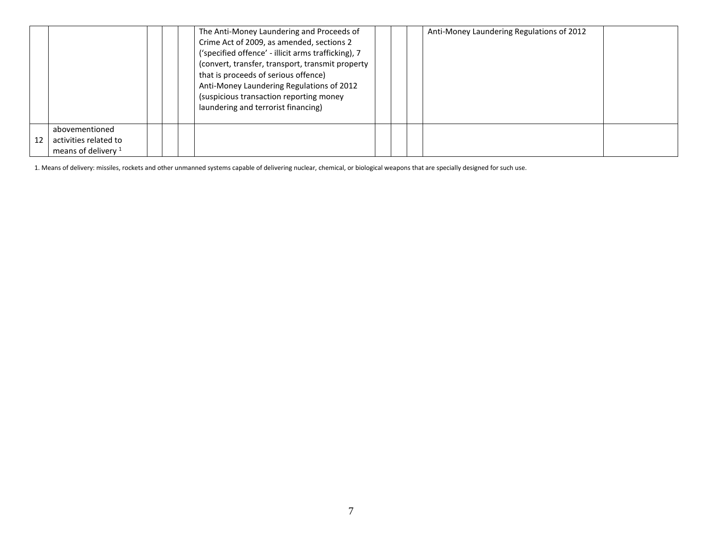|    |                                                                  |  | The Anti-Money Laundering and Proceeds of<br>Crime Act of 2009, as amended, sections 2<br>('specified offence' - illicit arms trafficking), 7<br>(convert, transfer, transport, transmit property<br>that is proceeds of serious offence)<br>Anti-Money Laundering Regulations of 2012<br>(suspicious transaction reporting money<br>laundering and terrorist financing) |  | Anti-Money Laundering Regulations of 2012 |  |
|----|------------------------------------------------------------------|--|--------------------------------------------------------------------------------------------------------------------------------------------------------------------------------------------------------------------------------------------------------------------------------------------------------------------------------------------------------------------------|--|-------------------------------------------|--|
| 12 | abovementioned<br>activities related to<br>means of delivery $1$ |  |                                                                                                                                                                                                                                                                                                                                                                          |  |                                           |  |

1. Means of delivery: missiles, rockets and other unmanned systems capable of delivering nuclear, chemical, or biological weapons that are specially designed for such use.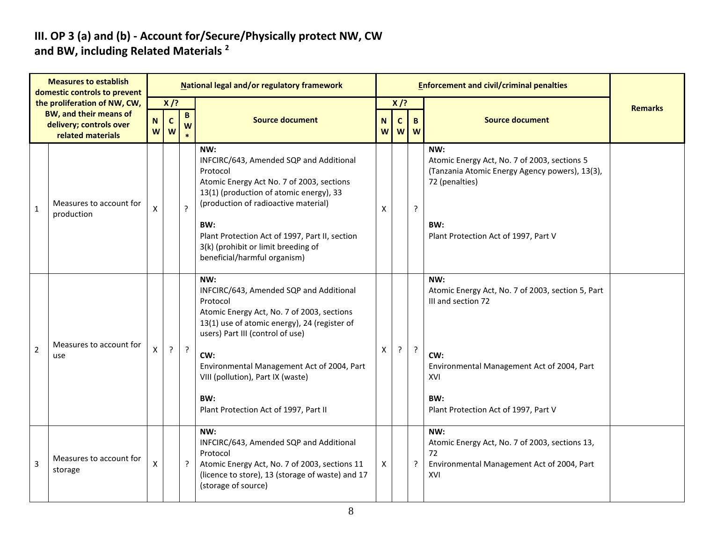#### **III. OP 3 (a) and (b) - Account for/Secure/Physically protect NW, CW and BW, including Related Materials <sup>2</sup>**

| <b>Measures to establish</b><br>domestic controls to prevent |                                                               |        |                  |                                              | National legal and/or regulatory framework                                                                                                                                                   |        |                   | <b>Enforcement and civil/criminal penalties</b> |                                                                                                                         |                |
|--------------------------------------------------------------|---------------------------------------------------------------|--------|------------------|----------------------------------------------|----------------------------------------------------------------------------------------------------------------------------------------------------------------------------------------------|--------|-------------------|-------------------------------------------------|-------------------------------------------------------------------------------------------------------------------------|----------------|
|                                                              | the proliferation of NW, CW,<br><b>BW, and their means of</b> |        | $X$ /?           | $\mathbf{B}$                                 |                                                                                                                                                                                              |        | $X$ /?            |                                                 |                                                                                                                         | <b>Remarks</b> |
|                                                              | delivery; controls over<br>related materials                  | N<br>W | $\mathbf c$<br>W | W                                            | <b>Source document</b>                                                                                                                                                                       | N<br>W | $\mathbf{C}$<br>W | B<br>W                                          | <b>Source document</b>                                                                                                  |                |
| $\mathbf{1}$                                                 | Measures to account for                                       | X      |                  | $\cdot$                                      | NW:<br>INFCIRC/643, Amended SQP and Additional<br>Protocol<br>Atomic Energy Act No. 7 of 2003, sections<br>13(1) (production of atomic energy), 33<br>(production of radioactive material)   | X      |                   | ?                                               | NW:<br>Atomic Energy Act, No. 7 of 2003, sections 5<br>(Tanzania Atomic Energy Agency powers), 13(3),<br>72 (penalties) |                |
|                                                              | production                                                    |        |                  |                                              | BW:<br>Plant Protection Act of 1997, Part II, section<br>3(k) (prohibit or limit breeding of<br>beneficial/harmful organism)                                                                 |        |                   |                                                 | BW:<br>Plant Protection Act of 1997, Part V                                                                             |                |
|                                                              | Measures to account for<br>use                                | X      | $\cdot$          |                                              | NW:<br>INFCIRC/643, Amended SQP and Additional<br>Protocol<br>Atomic Energy Act, No. 7 of 2003, sections<br>13(1) use of atomic energy), 24 (register of<br>users) Part III (control of use) |        | ?<br>X<br>ŗ       |                                                 | NW:<br>Atomic Energy Act, No. 7 of 2003, section 5, Part<br>III and section 72                                          |                |
| $\overline{2}$                                               |                                                               |        |                  | $\cdot$                                      | CW:<br>Environmental Management Act of 2004, Part<br>VIII (pollution), Part IX (waste)                                                                                                       |        |                   |                                                 |                                                                                                                         |                |
|                                                              |                                                               |        |                  | BW:<br>Plant Protection Act of 1997, Part II | BW:<br>Plant Protection Act of 1997, Part V                                                                                                                                                  |        |                   |                                                 |                                                                                                                         |                |
| 3                                                            | Measures to account for<br>storage                            | X      |                  | ?                                            | NW:<br>INFCIRC/643, Amended SQP and Additional<br>Protocol<br>Atomic Energy Act, No. 7 of 2003, sections 11<br>(licence to store), 13 (storage of waste) and 17<br>(storage of source)       | X      |                   | ?                                               | NW:<br>Atomic Energy Act, No. 7 of 2003, sections 13,<br>72<br>Environmental Management Act of 2004, Part<br>XVI        |                |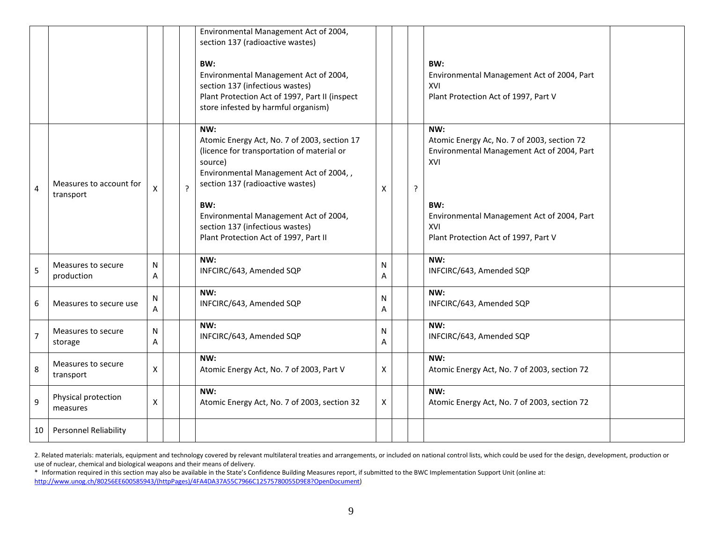|                |                                      |                    |             | Environmental Management Act of 2004,<br>section 137 (radioactive wastes)<br>BW:<br>Environmental Management Act of 2004,<br>section 137 (infectious wastes)<br>Plant Protection Act of 1997, Part II (inspect<br>store infested by harmful organism)                                                                  |        | BW:<br>Environmental Management Act of 2004, Part<br>XVI<br>Plant Protection Act of 1997, Part V                                                                                                                            |
|----------------|--------------------------------------|--------------------|-------------|------------------------------------------------------------------------------------------------------------------------------------------------------------------------------------------------------------------------------------------------------------------------------------------------------------------------|--------|-----------------------------------------------------------------------------------------------------------------------------------------------------------------------------------------------------------------------------|
| $\overline{4}$ | Measures to account for<br>transport | X                  | $\tilde{.}$ | NW:<br>Atomic Energy Act, No. 7 of 2003, section 17<br>(licence for transportation of material or<br>source)<br>Environmental Management Act of 2004,,<br>section 137 (radioactive wastes)<br>BW:<br>Environmental Management Act of 2004,<br>section 137 (infectious wastes)<br>Plant Protection Act of 1997, Part II | X      | NW:<br>Atomic Energy Ac, No. 7 of 2003, section 72<br>Environmental Management Act of 2004, Part<br>XVI<br>$\mathbf{?}$<br>BW:<br>Environmental Management Act of 2004, Part<br>XVI<br>Plant Protection Act of 1997, Part V |
| 5              | Measures to secure<br>production     | N<br>A             |             | NW:<br>INFCIRC/643, Amended SQP                                                                                                                                                                                                                                                                                        | N<br>Α | NW:<br>INFCIRC/643, Amended SQP                                                                                                                                                                                             |
| 6              | Measures to secure use               | N<br>A             |             | NW:<br>INFCIRC/643, Amended SQP                                                                                                                                                                                                                                                                                        | N<br>A | NW:<br>INFCIRC/643, Amended SQP                                                                                                                                                                                             |
| $\overline{7}$ | Measures to secure<br>storage        | N<br>Α             |             | NW:<br>INFCIRC/643, Amended SQP                                                                                                                                                                                                                                                                                        | N<br>Α | NW:<br>INFCIRC/643, Amended SQP                                                                                                                                                                                             |
| 8              | Measures to secure<br>transport      | $\pmb{\mathsf{X}}$ |             | NW:<br>Atomic Energy Act, No. 7 of 2003, Part V                                                                                                                                                                                                                                                                        | Χ      | NW:<br>Atomic Energy Act, No. 7 of 2003, section 72                                                                                                                                                                         |
| 9              | Physical protection<br>measures      | X                  |             | NW:<br>Atomic Energy Act, No. 7 of 2003, section 32                                                                                                                                                                                                                                                                    | X      | NW:<br>Atomic Energy Act, No. 7 of 2003, section 72                                                                                                                                                                         |
| 10             | <b>Personnel Reliability</b>         |                    |             |                                                                                                                                                                                                                                                                                                                        |        |                                                                                                                                                                                                                             |

2. Related materials: materials, equipment and technology covered by relevant multilateral treaties and arrangements, or included on national control lists, which could be used for the design, development, production or use of nuclear, chemical and biological weapons and their means of delivery.

\* Information required in this section may also be available in the State's Confidence Building Measures report, if submitted to the BWC Implementation Support Unit (online at: [http://www.unog.ch/80256EE600585943/\(httpPages\)/4FA4DA37A55C7966C12575780055D9E8?OpenDocument\)](http://www.unog.ch/80256EE600585943/(httpPages)/4FA4DA37A55C7966C12575780055D9E8?OpenDocument)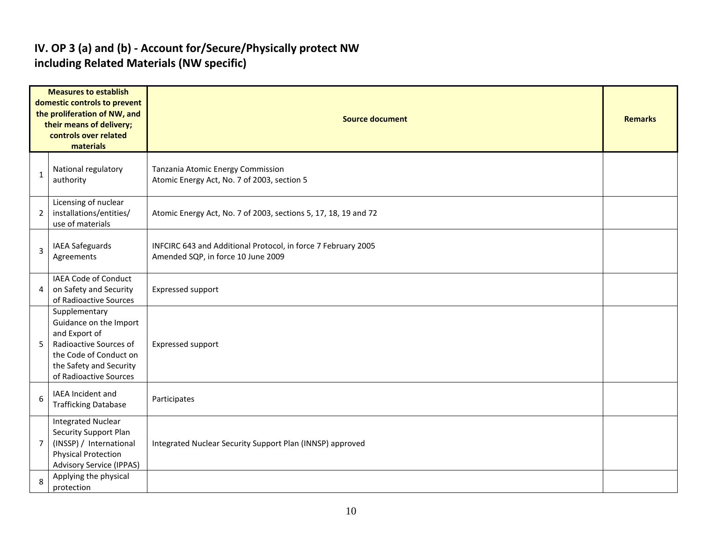#### **IV. OP 3 (a) and (b) - Account for/Secure/Physically protect NW including Related Materials (NW specific)**

| <b>Measures to establish</b><br>domestic controls to prevent<br>the proliferation of NW, and<br>their means of delivery;<br>controls over related<br>materials |                                                                                                                                                                   | <b>Source document</b>                                                                              | <b>Remarks</b> |  |  |  |  |
|----------------------------------------------------------------------------------------------------------------------------------------------------------------|-------------------------------------------------------------------------------------------------------------------------------------------------------------------|-----------------------------------------------------------------------------------------------------|----------------|--|--|--|--|
| 1                                                                                                                                                              | National regulatory<br>authority                                                                                                                                  | Tanzania Atomic Energy Commission<br>Atomic Energy Act, No. 7 of 2003, section 5                    |                |  |  |  |  |
| $\overline{2}$                                                                                                                                                 | Licensing of nuclear<br>installations/entities/<br>use of materials                                                                                               | Atomic Energy Act, No. 7 of 2003, sections 5, 17, 18, 19 and 72                                     |                |  |  |  |  |
| 3                                                                                                                                                              | <b>IAEA Safeguards</b><br>Agreements                                                                                                                              | INFCIRC 643 and Additional Protocol, in force 7 February 2005<br>Amended SQP, in force 10 June 2009 |                |  |  |  |  |
| 4                                                                                                                                                              | IAEA Code of Conduct<br>on Safety and Security<br>of Radioactive Sources                                                                                          | Expressed support                                                                                   |                |  |  |  |  |
| 5                                                                                                                                                              | Supplementary<br>Guidance on the Import<br>and Export of<br>Radioactive Sources of<br>the Code of Conduct on<br>the Safety and Security<br>of Radioactive Sources | Expressed support                                                                                   |                |  |  |  |  |
| 6                                                                                                                                                              | IAEA Incident and<br><b>Trafficking Database</b>                                                                                                                  | Participates                                                                                        |                |  |  |  |  |
| $\overline{7}$                                                                                                                                                 | <b>Integrated Nuclear</b><br>Security Support Plan<br>(INSSP) / International<br><b>Physical Protection</b><br><b>Advisory Service (IPPAS)</b>                    | Integrated Nuclear Security Support Plan (INNSP) approved                                           |                |  |  |  |  |
| 8                                                                                                                                                              | Applying the physical<br>protection                                                                                                                               |                                                                                                     |                |  |  |  |  |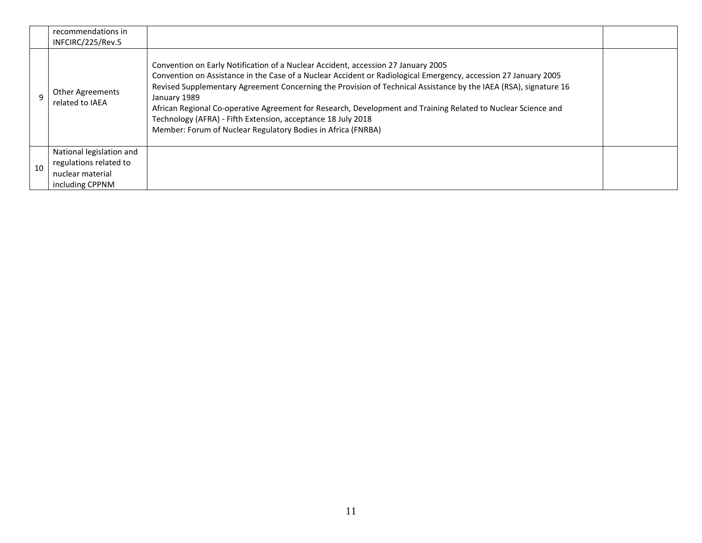|    | recommendations in<br>INFCIRC/225/Rev.5                                                   |                                                                                                                                                                                                                                                                                                                                                                                                                                                                                                                                                                                           |  |
|----|-------------------------------------------------------------------------------------------|-------------------------------------------------------------------------------------------------------------------------------------------------------------------------------------------------------------------------------------------------------------------------------------------------------------------------------------------------------------------------------------------------------------------------------------------------------------------------------------------------------------------------------------------------------------------------------------------|--|
|    | <b>Other Agreements</b><br>related to IAEA                                                | Convention on Early Notification of a Nuclear Accident, accession 27 January 2005<br>Convention on Assistance in the Case of a Nuclear Accident or Radiological Emergency, accession 27 January 2005<br>Revised Supplementary Agreement Concerning the Provision of Technical Assistance by the IAEA (RSA), signature 16<br>January 1989<br>African Regional Co-operative Agreement for Research, Development and Training Related to Nuclear Science and<br>Technology (AFRA) - Fifth Extension, acceptance 18 July 2018<br>Member: Forum of Nuclear Regulatory Bodies in Africa (FNRBA) |  |
| 10 | National legislation and<br>regulations related to<br>nuclear material<br>including CPPNM |                                                                                                                                                                                                                                                                                                                                                                                                                                                                                                                                                                                           |  |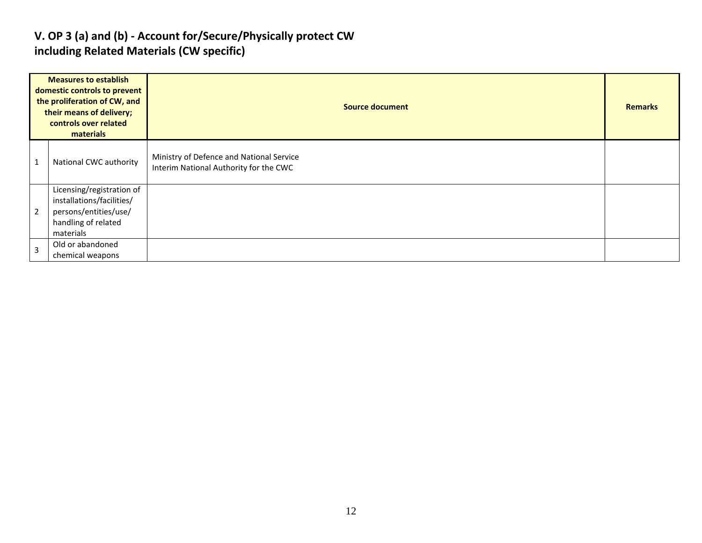#### **V. OP 3 (a) and (b) - Account for/Secure/Physically protect CW including Related Materials (CW specific)**

| <b>Measures to establish</b><br>domestic controls to prevent<br>the proliferation of CW, and<br>their means of delivery;<br>controls over related<br>materials |                                                                                                                     | <b>Source document</b>                                                             |  |  |  |  |  |
|----------------------------------------------------------------------------------------------------------------------------------------------------------------|---------------------------------------------------------------------------------------------------------------------|------------------------------------------------------------------------------------|--|--|--|--|--|
| $\mathbf 1$                                                                                                                                                    | National CWC authority                                                                                              | Ministry of Defence and National Service<br>Interim National Authority for the CWC |  |  |  |  |  |
| $\overline{2}$                                                                                                                                                 | Licensing/registration of<br>installations/facilities/<br>persons/entities/use/<br>handling of related<br>materials |                                                                                    |  |  |  |  |  |
| $\overline{3}$                                                                                                                                                 | Old or abandoned<br>chemical weapons                                                                                |                                                                                    |  |  |  |  |  |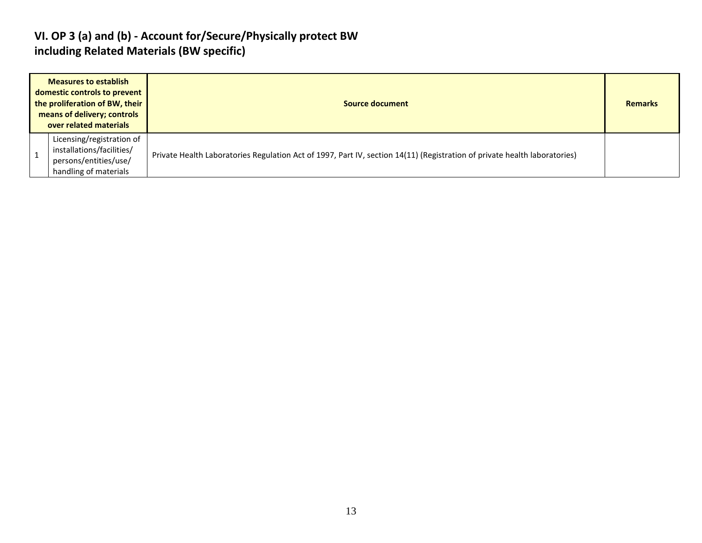#### **VI. OP 3 (a) and (b) - Account for/Secure/Physically protect BW including Related Materials (BW specific)**

| <b>Measures to establish</b><br>domestic controls to prevent<br>the proliferation of BW, their<br>means of delivery; controls<br>over related materials | Source document                                                                                                           |  |  |  |
|---------------------------------------------------------------------------------------------------------------------------------------------------------|---------------------------------------------------------------------------------------------------------------------------|--|--|--|
| Licensing/registration of<br>installations/facilities/<br>persons/entities/use/<br>handling of materials                                                | Private Health Laboratories Regulation Act of 1997, Part IV, section 14(11) (Registration of private health laboratories) |  |  |  |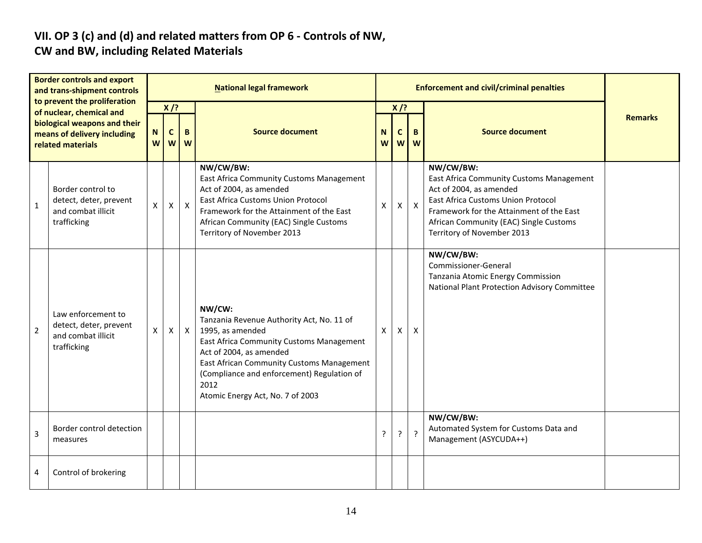# **VII. OP 3 (c) and (d) and related matters from OP 6 - Controls of NW,**

#### **CW and BW, including Related Materials**

| <b>Border controls and export</b><br>and trans-shipment controls<br>to prevent the proliferation<br>of nuclear, chemical and<br>biological weapons and their<br>means of delivery including<br>related materials |                                                                                   | <b>National legal framework</b> |                             |              |                                                                                                                                                                                                                                                                                       |        |                  |                |                                                                                                                                                                                                                                            |                |
|------------------------------------------------------------------------------------------------------------------------------------------------------------------------------------------------------------------|-----------------------------------------------------------------------------------|---------------------------------|-----------------------------|--------------|---------------------------------------------------------------------------------------------------------------------------------------------------------------------------------------------------------------------------------------------------------------------------------------|--------|------------------|----------------|--------------------------------------------------------------------------------------------------------------------------------------------------------------------------------------------------------------------------------------------|----------------|
|                                                                                                                                                                                                                  |                                                                                   | N<br>W                          | $X$ /?<br>$\mathbf{C}$<br>W | B<br>W       | <b>Source document</b>                                                                                                                                                                                                                                                                | N<br>W | $X$ /?<br>C<br>W | B<br>W         | <b>Source document</b>                                                                                                                                                                                                                     | <b>Remarks</b> |
| $\mathbf{1}$                                                                                                                                                                                                     | Border control to<br>detect, deter, prevent<br>and combat illicit<br>trafficking  | X                               | $\mathsf{X}$                | $\mathsf{X}$ | NW/CW/BW:<br>East Africa Community Customs Management<br>Act of 2004, as amended<br><b>East Africa Customs Union Protocol</b><br>Framework for the Attainment of the East<br>African Community (EAC) Single Customs<br>Territory of November 2013                                     | X      | X                | $\mathsf{X}$   | NW/CW/BW:<br>East Africa Community Customs Management<br>Act of 2004, as amended<br>East Africa Customs Union Protocol<br>Framework for the Attainment of the East<br>African Community (EAC) Single Customs<br>Territory of November 2013 |                |
| $\overline{2}$                                                                                                                                                                                                   | Law enforcement to<br>detect, deter, prevent<br>and combat illicit<br>trafficking | X                               | X                           | $\mathsf{X}$ | NW/CW:<br>Tanzania Revenue Authority Act, No. 11 of<br>1995, as amended<br>East Africa Community Customs Management<br>Act of 2004, as amended<br>East African Community Customs Management<br>(Compliance and enforcement) Regulation of<br>2012<br>Atomic Energy Act, No. 7 of 2003 | X      | X                | X              | NW/CW/BW:<br>Commissioner-General<br>Tanzania Atomic Energy Commission<br>National Plant Protection Advisory Committee                                                                                                                     |                |
| 3                                                                                                                                                                                                                | Border control detection<br>measures                                              |                                 |                             |              |                                                                                                                                                                                                                                                                                       | ?      | ŗ                | $\overline{?}$ | NW/CW/BW:<br>Automated System for Customs Data and<br>Management (ASYCUDA++)                                                                                                                                                               |                |
| 4                                                                                                                                                                                                                | Control of brokering                                                              |                                 |                             |              |                                                                                                                                                                                                                                                                                       |        |                  |                |                                                                                                                                                                                                                                            |                |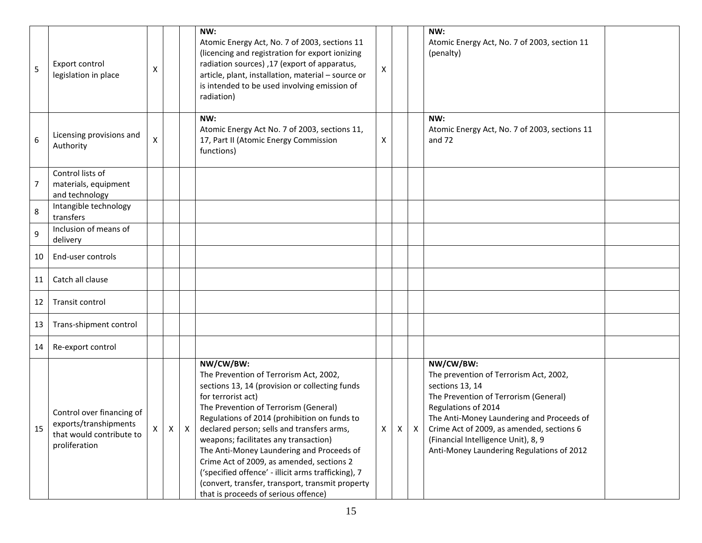| 5  | Export control<br>legislation in place                                                          | Χ |   |   | NW:<br>Atomic Energy Act, No. 7 of 2003, sections 11<br>(licencing and registration for export ionizing<br>radiation sources) ,17 (export of apparatus,<br>article, plant, installation, material - source or<br>is intended to be used involving emission of<br>radiation)                                                                                                                                                                                                                                                                              | X |   |   | NW:<br>Atomic Energy Act, No. 7 of 2003, section 11<br>(penalty)                                                                                                                                                                                                                                                     |  |
|----|-------------------------------------------------------------------------------------------------|---|---|---|----------------------------------------------------------------------------------------------------------------------------------------------------------------------------------------------------------------------------------------------------------------------------------------------------------------------------------------------------------------------------------------------------------------------------------------------------------------------------------------------------------------------------------------------------------|---|---|---|----------------------------------------------------------------------------------------------------------------------------------------------------------------------------------------------------------------------------------------------------------------------------------------------------------------------|--|
| 6  | Licensing provisions and<br>Authority                                                           | X |   |   | NW:<br>Atomic Energy Act No. 7 of 2003, sections 11,<br>17, Part II (Atomic Energy Commission<br>functions)                                                                                                                                                                                                                                                                                                                                                                                                                                              | х |   |   | NW:<br>Atomic Energy Act, No. 7 of 2003, sections 11<br>and 72                                                                                                                                                                                                                                                       |  |
| 7  | Control lists of<br>materials, equipment<br>and technology                                      |   |   |   |                                                                                                                                                                                                                                                                                                                                                                                                                                                                                                                                                          |   |   |   |                                                                                                                                                                                                                                                                                                                      |  |
| 8  | Intangible technology<br>transfers                                                              |   |   |   |                                                                                                                                                                                                                                                                                                                                                                                                                                                                                                                                                          |   |   |   |                                                                                                                                                                                                                                                                                                                      |  |
| 9  | Inclusion of means of<br>delivery                                                               |   |   |   |                                                                                                                                                                                                                                                                                                                                                                                                                                                                                                                                                          |   |   |   |                                                                                                                                                                                                                                                                                                                      |  |
| 10 | End-user controls                                                                               |   |   |   |                                                                                                                                                                                                                                                                                                                                                                                                                                                                                                                                                          |   |   |   |                                                                                                                                                                                                                                                                                                                      |  |
| 11 | Catch all clause                                                                                |   |   |   |                                                                                                                                                                                                                                                                                                                                                                                                                                                                                                                                                          |   |   |   |                                                                                                                                                                                                                                                                                                                      |  |
| 12 | Transit control                                                                                 |   |   |   |                                                                                                                                                                                                                                                                                                                                                                                                                                                                                                                                                          |   |   |   |                                                                                                                                                                                                                                                                                                                      |  |
| 13 | Trans-shipment control                                                                          |   |   |   |                                                                                                                                                                                                                                                                                                                                                                                                                                                                                                                                                          |   |   |   |                                                                                                                                                                                                                                                                                                                      |  |
| 14 | Re-export control                                                                               |   |   |   |                                                                                                                                                                                                                                                                                                                                                                                                                                                                                                                                                          |   |   |   |                                                                                                                                                                                                                                                                                                                      |  |
| 15 | Control over financing of<br>exports/transhipments<br>that would contribute to<br>proliferation | X | X | X | NW/CW/BW:<br>The Prevention of Terrorism Act, 2002,<br>sections 13, 14 (provision or collecting funds<br>for terrorist act)<br>The Prevention of Terrorism (General)<br>Regulations of 2014 (prohibition on funds to<br>declared person; sells and transfers arms,<br>weapons; facilitates any transaction)<br>The Anti-Money Laundering and Proceeds of<br>Crime Act of 2009, as amended, sections 2<br>('specified offence' - illicit arms trafficking), 7<br>(convert, transfer, transport, transmit property<br>that is proceeds of serious offence) | X | X | X | NW/CW/BW:<br>The prevention of Terrorism Act, 2002,<br>sections 13, 14<br>The Prevention of Terrorism (General)<br>Regulations of 2014<br>The Anti-Money Laundering and Proceeds of<br>Crime Act of 2009, as amended, sections 6<br>(Financial Intelligence Unit), 8, 9<br>Anti-Money Laundering Regulations of 2012 |  |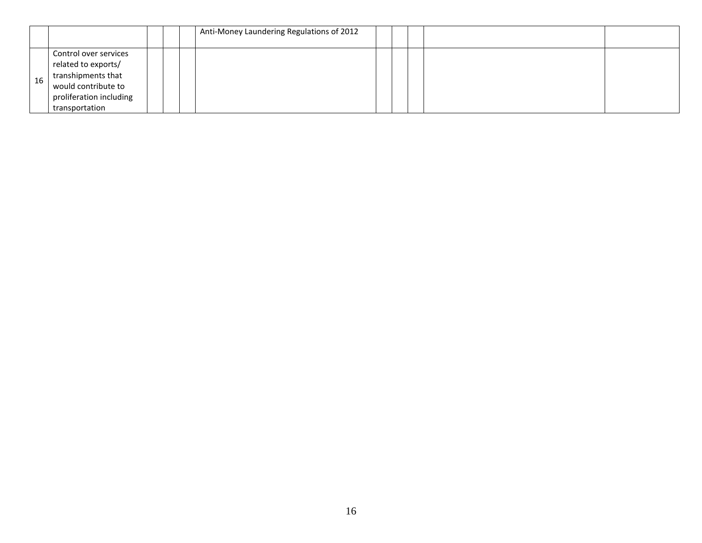|    |                                                                                                                                        |  | Anti-Money Laundering Regulations of 2012 |  |  |  |
|----|----------------------------------------------------------------------------------------------------------------------------------------|--|-------------------------------------------|--|--|--|
| 16 | Control over services<br>related to exports/<br>transhipments that<br>would contribute to<br>proliferation including<br>transportation |  |                                           |  |  |  |